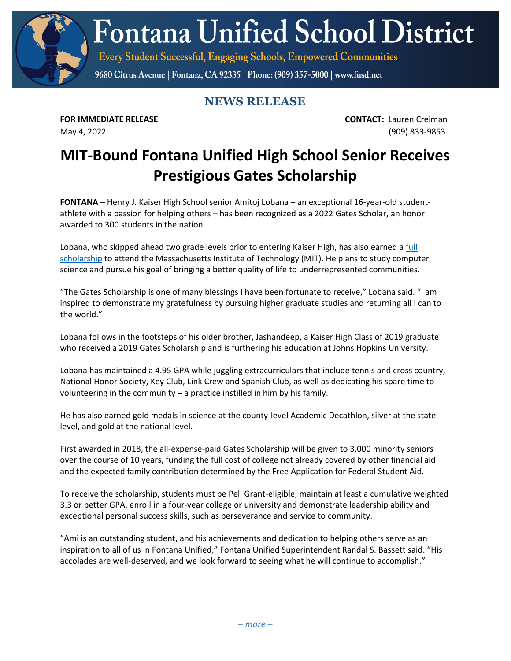**Fontana Unified School District** 

Every Student Successful, Engaging Schools, Empowered Communities

9680 Citrus Avenue | Fontana, CA 92335 | Phone: (909) 357-5000 | www.fusd.net

## **NEWS RELEASE**

**FOR IMMEDIATE RELEASE CONTACT:** Lauren Creiman May 4, 2022 (909) 833-9853

## **MIT-Bound Fontana Unified High School Senior Receives Prestigious Gates Scholarship**

**FONTANA** – Henry J. Kaiser High School senior Amitoj Lobana – an exceptional 16-year-old studentathlete with a passion for helping others – has been recognized as a 2022 Gates Scholar, an honor awarded to 300 students in the nation.

Lobana, who skipped ahead two grade levels prior to entering Kaiser High, has also earned a full [scholarship](https://www.fusd.net/site/default.aspx?PageType=3&DomainID=4&ModuleInstanceID=76&ViewID=6446EE88-D30C-497E-9316-3F8874B3E108&RenderLoc=0&FlexDataID=30442&PageID=1) to attend the Massachusetts Institute of Technology (MIT). He plans to study computer science and pursue his goal of bringing a better quality of life to underrepresented communities.

"The Gates Scholarship is one of many blessings I have been fortunate to receive," Lobana said. "I am inspired to demonstrate my gratefulness by pursuing higher graduate studies and returning all I can to the world."

Lobana follows in the footsteps of his older brother, Jashandeep, a Kaiser High Class of 2019 graduate who received a 2019 Gates Scholarship and is furthering his education at Johns Hopkins University.

Lobana has maintained a 4.95 GPA while juggling extracurriculars that include tennis and cross country, National Honor Society, Key Club, Link Crew and Spanish Club, as well as dedicating his spare time to volunteering in the community – a practice instilled in him by his family.

He has also earned gold medals in science at the county-level Academic Decathlon, silver at the state level, and gold at the national level.

First awarded in 2018, the all-expense-paid Gates Scholarship will be given to 3,000 minority seniors over the course of 10 years, funding the full cost of college not already covered by other financial aid and the expected family contribution determined by the Free Application for Federal Student Aid.

To receive the scholarship, students must be Pell Grant-eligible, maintain at least a cumulative weighted 3.3 or better GPA, enroll in a four-year college or university and demonstrate leadership ability and exceptional personal success skills, such as perseverance and service to community.

"Ami is an outstanding student, and his achievements and dedication to helping others serve as an inspiration to all of us in Fontana Unified," Fontana Unified Superintendent Randal S. Bassett said. "His accolades are well-deserved, and we look forward to seeing what he will continue to accomplish."